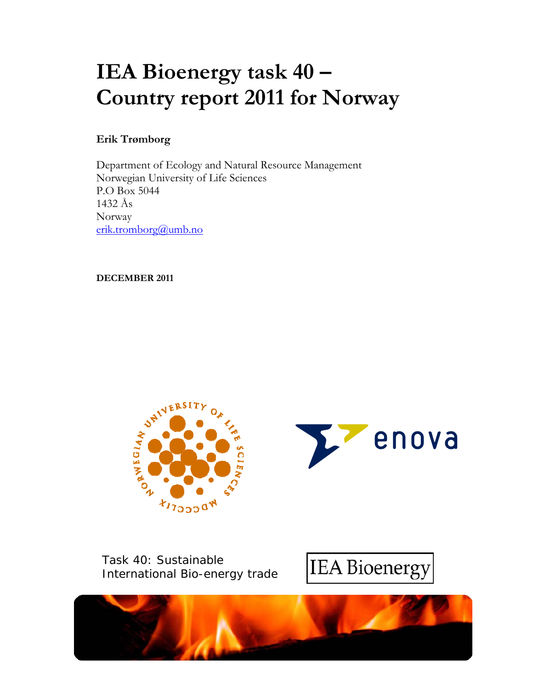# **IEA Bioenergy task 40 – Country report 2011 for Norway**

## **Erik Trømborg**

Department of Ecology and Natural Resource Management Norwegian University of Life Sciences P.O Box 5044 1432 Ås Norway erik.tromborg@umb.no

**DECEMBER 2011** 





Task 40: Sustainable International Bio-energy trade



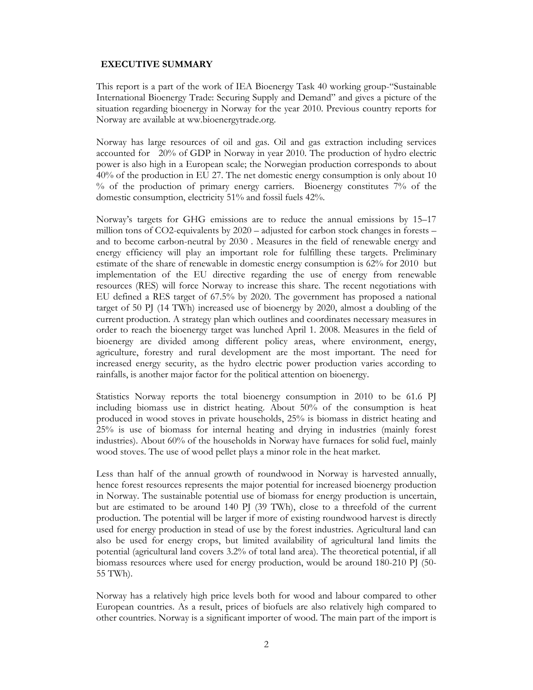#### **EXECUTIVE SUMMARY**

This report is a part of the work of IEA Bioenergy Task 40 working group-"Sustainable International Bioenergy Trade: Securing Supply and Demand" and gives a picture of the situation regarding bioenergy in Norway for the year 2010. Previous country reports for Norway are available at ww.bioenergytrade.org.

Norway has large resources of oil and gas. Oil and gas extraction including services accounted for 20% of GDP in Norway in year 2010. The production of hydro electric power is also high in a European scale; the Norwegian production corresponds to about 40% of the production in EU 27. The net domestic energy consumption is only about 10 % of the production of primary energy carriers. Bioenergy constitutes 7% of the domestic consumption, electricity 51% and fossil fuels 42%.

Norway's targets for GHG emissions are to reduce the annual emissions by 15–17 million tons of CO2-equivalents by 2020 – adjusted for carbon stock changes in forests – and to become carbon-neutral by 2030 . Measures in the field of renewable energy and energy efficiency will play an important role for fulfilling these targets. Preliminary estimate of the share of renewable in domestic energy consumption is 62% for 2010 but implementation of the EU directive regarding the use of energy from renewable resources (RES) will force Norway to increase this share. The recent negotiations with EU defined a RES target of 67.5% by 2020. The government has proposed a national target of 50 PJ (14 TWh) increased use of bioenergy by 2020, almost a doubling of the current production. A strategy plan which outlines and coordinates necessary measures in order to reach the bioenergy target was lunched April 1. 2008. Measures in the field of bioenergy are divided among different policy areas, where environment, energy, agriculture, forestry and rural development are the most important. The need for increased energy security, as the hydro electric power production varies according to rainfalls, is another major factor for the political attention on bioenergy.

Statistics Norway reports the total bioenergy consumption in 2010 to be 61.6 PJ including biomass use in district heating. About 50% of the consumption is heat produced in wood stoves in private households, 25% is biomass in district heating and 25% is use of biomass for internal heating and drying in industries (mainly forest industries). About 60% of the households in Norway have furnaces for solid fuel, mainly wood stoves. The use of wood pellet plays a minor role in the heat market.

Less than half of the annual growth of roundwood in Norway is harvested annually, hence forest resources represents the major potential for increased bioenergy production in Norway. The sustainable potential use of biomass for energy production is uncertain, but are estimated to be around 140 PJ (39 TWh), close to a threefold of the current production. The potential will be larger if more of existing roundwood harvest is directly used for energy production in stead of use by the forest industries. Agricultural land can also be used for energy crops, but limited availability of agricultural land limits the potential (agricultural land covers 3.2% of total land area). The theoretical potential, if all biomass resources where used for energy production, would be around 180-210 PJ (50- 55 TWh).

Norway has a relatively high price levels both for wood and labour compared to other European countries. As a result, prices of biofuels are also relatively high compared to other countries. Norway is a significant importer of wood. The main part of the import is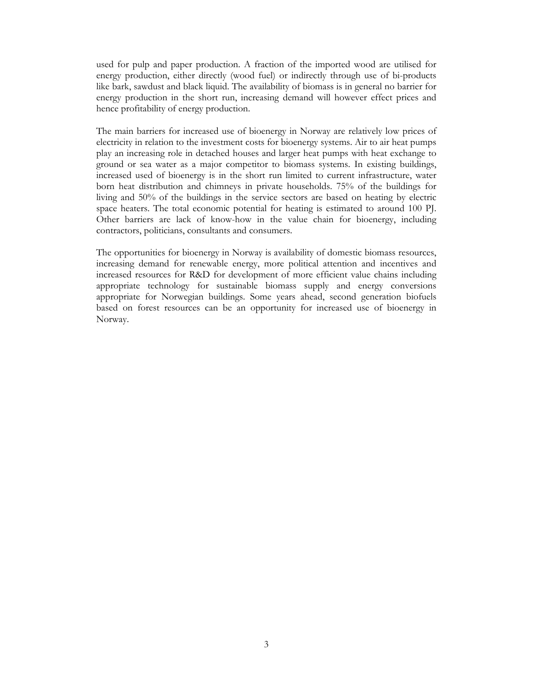used for pulp and paper production. A fraction of the imported wood are utilised for energy production, either directly (wood fuel) or indirectly through use of bi-products like bark, sawdust and black liquid. The availability of biomass is in general no barrier for energy production in the short run, increasing demand will however effect prices and hence profitability of energy production.

The main barriers for increased use of bioenergy in Norway are relatively low prices of electricity in relation to the investment costs for bioenergy systems. Air to air heat pumps play an increasing role in detached houses and larger heat pumps with heat exchange to ground or sea water as a major competitor to biomass systems. In existing buildings, increased used of bioenergy is in the short run limited to current infrastructure, water born heat distribution and chimneys in private households. 75% of the buildings for living and 50% of the buildings in the service sectors are based on heating by electric space heaters. The total economic potential for heating is estimated to around 100 PJ. Other barriers are lack of know-how in the value chain for bioenergy, including contractors, politicians, consultants and consumers.

The opportunities for bioenergy in Norway is availability of domestic biomass resources, increasing demand for renewable energy, more political attention and incentives and increased resources for R&D for development of more efficient value chains including appropriate technology for sustainable biomass supply and energy conversions appropriate for Norwegian buildings. Some years ahead, second generation biofuels based on forest resources can be an opportunity for increased use of bioenergy in Norway.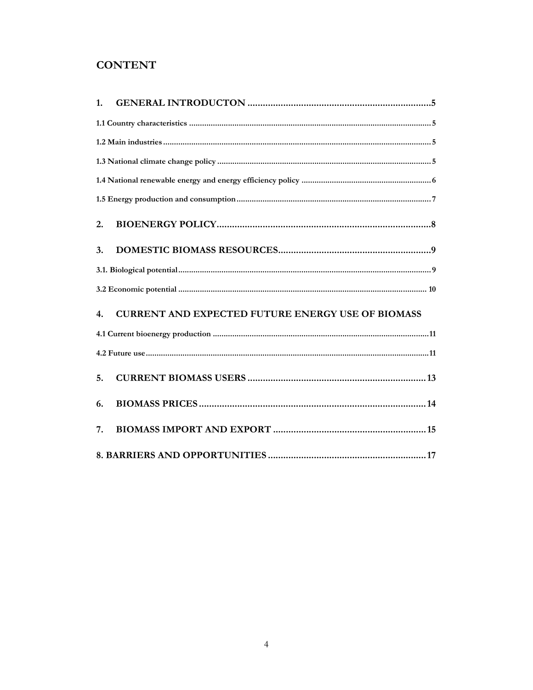# **CONTENT**

| 1.                                                             |  |
|----------------------------------------------------------------|--|
|                                                                |  |
|                                                                |  |
|                                                                |  |
|                                                                |  |
|                                                                |  |
| 2.                                                             |  |
| 3.                                                             |  |
|                                                                |  |
|                                                                |  |
| <b>CURRENT AND EXPECTED FUTURE ENERGY USE OF BIOMASS</b><br>4. |  |
|                                                                |  |
|                                                                |  |
| 5.                                                             |  |
| 6.                                                             |  |
| 7.                                                             |  |
|                                                                |  |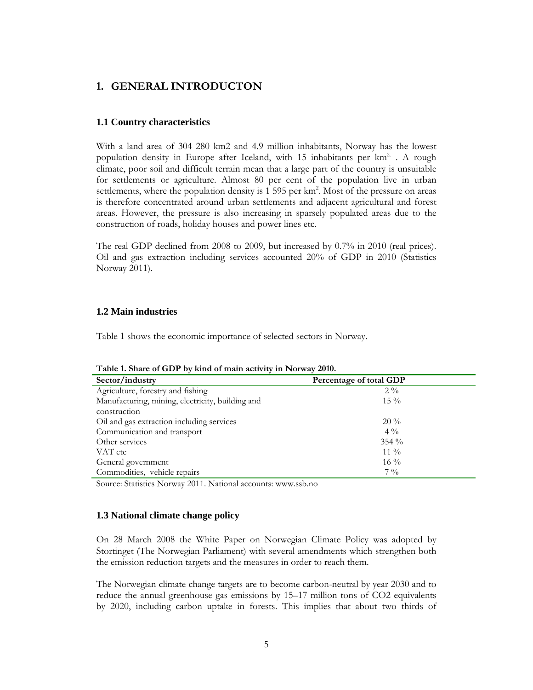## **1. GENERAL INTRODUCTON**

#### **1.1 Country characteristics**

With a land area of 304 280 km2 and 4.9 million inhabitants, Norway has the lowest population density in Europe after Iceland, with 15 inhabitants per  $km^2$ . A rough climate, poor soil and difficult terrain mean that a large part of the country is unsuitable for settlements or agriculture. Almost 80 per cent of the population live in urban settlements, where the population density is  $1\,595$  per km<sup>2</sup>. Most of the pressure on areas is therefore concentrated around urban settlements and adjacent agricultural and forest areas. However, the pressure is also increasing in sparsely populated areas due to the construction of roads, holiday houses and power lines etc.

The real GDP declined from 2008 to 2009, but increased by 0.7% in 2010 (real prices). Oil and gas extraction including services accounted 20% of GDP in 2010 (Statistics Norway 2011).

#### **1.2 Main industries**

Table 1 shows the economic importance of selected sectors in Norway.

| Sector/industry                                  | Percentage of total GDP |  |
|--------------------------------------------------|-------------------------|--|
| Agriculture, forestry and fishing                | $2\frac{0}{0}$          |  |
| Manufacturing, mining, electricity, building and | $15\%$                  |  |
| construction                                     |                         |  |
| Oil and gas extraction including services        | $20\%$                  |  |
| Communication and transport                      | $4\%$                   |  |
| Other services                                   | $354\%$                 |  |
| VAT etc                                          | $11\%$                  |  |
| General government                               | $16\%$                  |  |
| Commodities, vehicle repairs                     | $7\frac{0}{0}$          |  |

**Table 1. Share of GDP by kind of main activity in Norway 2010.** 

Source: Statistics Norway 2011. National accounts: www.ssb.no

#### **1.3 National climate change policy**

On 28 March 2008 the White Paper on Norwegian Climate Policy was adopted by Stortinget (The Norwegian Parliament) with several amendments which strengthen both the emission reduction targets and the measures in order to reach them.

The Norwegian climate change targets are to become carbon-neutral by year 2030 and to reduce the annual greenhouse gas emissions by 15–17 million tons of CO2 equivalents by 2020, including carbon uptake in forests. This implies that about two thirds of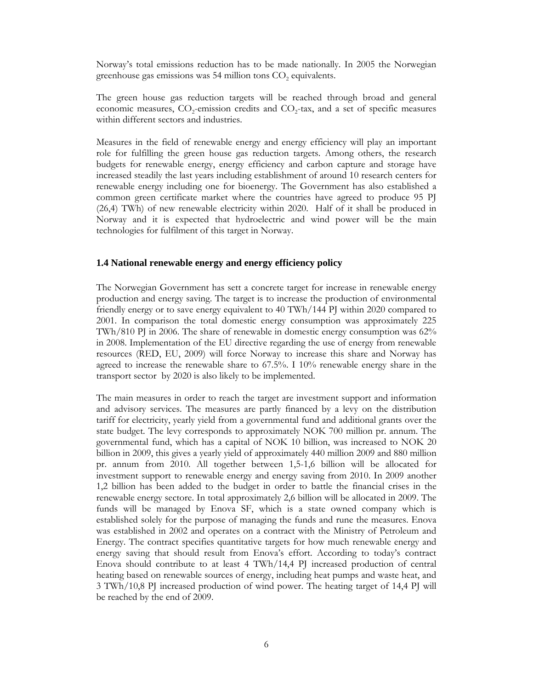Norway's total emissions reduction has to be made nationally. In 2005 the Norwegian greenhouse gas emissions was 54 million tons  $CO<sub>2</sub>$  equivalents.

The green house gas reduction targets will be reached through broad and general economic measures,  $CO_2$ -emission credits and  $CO_2$ -tax, and a set of specific measures within different sectors and industries.

Measures in the field of renewable energy and energy efficiency will play an important role for fulfilling the green house gas reduction targets. Among others, the research budgets for renewable energy, energy efficiency and carbon capture and storage have increased steadily the last years including establishment of around 10 research centers for renewable energy including one for bioenergy. The Government has also established a common green certificate market where the countries have agreed to produce 95 PJ (26,4) TWh) of new renewable electricity within 2020. Half of it shall be produced in Norway and it is expected that hydroelectric and wind power will be the main technologies for fulfilment of this target in Norway.

#### **1.4 National renewable energy and energy efficiency policy**

The Norwegian Government has sett a concrete target for increase in renewable energy production and energy saving. The target is to increase the production of environmental friendly energy or to save energy equivalent to 40 TWh/144 PJ within 2020 compared to 2001. In comparison the total domestic energy consumption was approximately 225 TWh/810 PJ in 2006. The share of renewable in domestic energy consumption was 62% in 2008. Implementation of the EU directive regarding the use of energy from renewable resources (RED, EU, 2009) will force Norway to increase this share and Norway has agreed to increase the renewable share to 67.5%. I 10% renewable energy share in the transport sector by 2020 is also likely to be implemented.

The main measures in order to reach the target are investment support and information and advisory services. The measures are partly financed by a levy on the distribution tariff for electricity, yearly yield from a governmental fund and additional grants over the state budget. The levy corresponds to approximately NOK 700 million pr. annum. The governmental fund, which has a capital of NOK 10 billion, was increased to NOK 20 billion in 2009, this gives a yearly yield of approximately 440 million 2009 and 880 million pr. annum from 2010. All together between 1,5-1,6 billion will be allocated for investment support to renewable energy and energy saving from 2010. In 2009 another 1,2 billion has been added to the budget in order to battle the financial crises in the renewable energy sectore. In total approximately 2,6 billion will be allocated in 2009. The funds will be managed by Enova SF, which is a state owned company which is established solely for the purpose of managing the funds and rune the measures. Enova was established in 2002 and operates on a contract with the Ministry of Petroleum and Energy. The contract specifies quantitative targets for how much renewable energy and energy saving that should result from Enova's effort. According to today's contract Enova should contribute to at least 4 TWh/14,4 PJ increased production of central heating based on renewable sources of energy, including heat pumps and waste heat, and 3 TWh/10,8 PJ increased production of wind power. The heating target of 14,4 PJ will be reached by the end of 2009.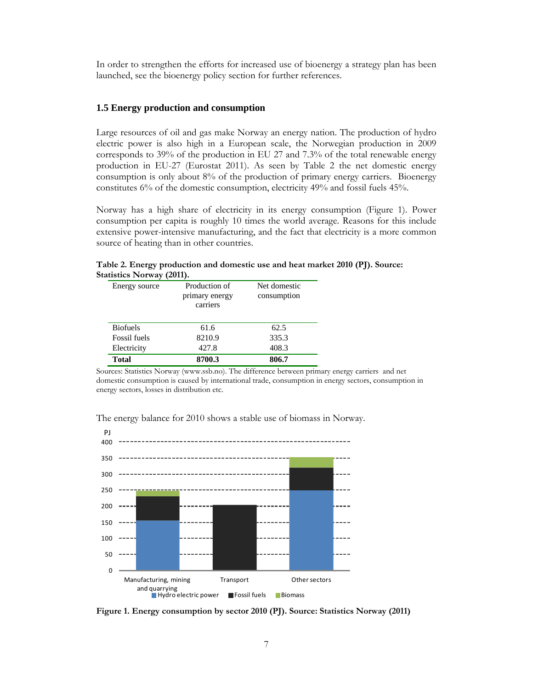In order to strengthen the efforts for increased use of bioenergy a strategy plan has been launched, see the bioenergy policy section for further references.

#### **1.5 Energy production and consumption**

Large resources of oil and gas make Norway an energy nation. The production of hydro electric power is also high in a European scale, the Norwegian production in 2009 corresponds to 39% of the production in EU 27 and 7.3% of the total renewable energy production in EU-27 (Eurostat 2011). As seen by Table 2 the net domestic energy consumption is only about 8% of the production of primary energy carriers. Bioenergy constitutes 6% of the domestic consumption, electricity 49% and fossil fuels 45%.

Norway has a high share of electricity in its energy consumption (Figure 1). Power consumption per capita is roughly 10 times the world average. Reasons for this include extensive power-intensive manufacturing, and the fact that electricity is a more common source of heating than in other countries.

| Energy source       | Production of<br>primary energy<br>carriers | Net domestic<br>consumption |
|---------------------|---------------------------------------------|-----------------------------|
| <b>Biofuels</b>     | 61.6                                        | 62.5                        |
| <b>Fossil</b> fuels | 8210.9                                      | 335.3                       |
| Electricity         | 427.8                                       | 408.3                       |
| Total               | 8700.3                                      | 806.7                       |

**Table 2. Energy production and domestic use and heat market 2010 (PJ). Source: Statistics Norway (2011).** 

Sources: Statistics Norway (www.ssb.no). The difference between primary energy carriers and net domestic consumption is caused by international trade, consumption in energy sectors, consumption in energy sectors, losses in distribution etc.

The energy balance for 2010 shows a stable use of biomass in Norway.



**Figure 1. Energy consumption by sector 2010 (PJ). Source: Statistics Norway (2011)**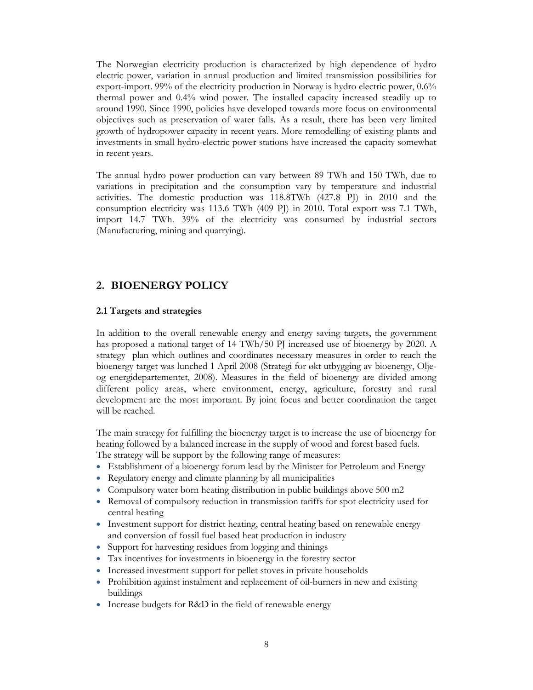The Norwegian electricity production is characterized by high dependence of hydro electric power, variation in annual production and limited transmission possibilities for export-import. 99% of the electricity production in Norway is hydro electric power, 0.6% thermal power and 0.4% wind power. The installed capacity increased steadily up to around 1990. Since 1990, policies have developed towards more focus on environmental objectives such as preservation of water falls. As a result, there has been very limited growth of hydropower capacity in recent years. More remodelling of existing plants and investments in small hydro-electric power stations have increased the capacity somewhat in recent years.

The annual hydro power production can vary between 89 TWh and 150 TWh, due to variations in precipitation and the consumption vary by temperature and industrial activities. The domestic production was 118.8TWh (427.8 PJ) in 2010 and the consumption electricity was 113.6 TWh (409 PJ) in 2010. Total export was 7.1 TWh, import 14.7 TWh. 39% of the electricity was consumed by industrial sectors (Manufacturing, mining and quarrying).

## **2. BIOENERGY POLICY**

#### **2.1 Targets and strategies**

In addition to the overall renewable energy and energy saving targets, the government has proposed a national target of 14 TWh/50 PJ increased use of bioenergy by 2020. A strategy plan which outlines and coordinates necessary measures in order to reach the bioenergy target was lunched 1 April 2008 (Strategi for økt utbygging av bioenergy, Oljeog energidepartementet, 2008). Measures in the field of bioenergy are divided among different policy areas, where environment, energy, agriculture, forestry and rural development are the most important. By joint focus and better coordination the target will be reached.

The main strategy for fulfilling the bioenergy target is to increase the use of bioenergy for heating followed by a balanced increase in the supply of wood and forest based fuels. The strategy will be support by the following range of measures:

- Establishment of a bioenergy forum lead by the Minister for Petroleum and Energy
- Regulatory energy and climate planning by all municipalities
- Compulsory water born heating distribution in public buildings above 500 m2
- Removal of compulsory reduction in transmission tariffs for spot electricity used for central heating
- Investment support for district heating, central heating based on renewable energy and conversion of fossil fuel based heat production in industry
- Support for harvesting residues from logging and thinings
- Tax incentives for investments in bioenergy in the forestry sector
- Increased investment support for pellet stoves in private households
- Prohibition against instalment and replacement of oil-burners in new and existing buildings
- Increase budgets for R&D in the field of renewable energy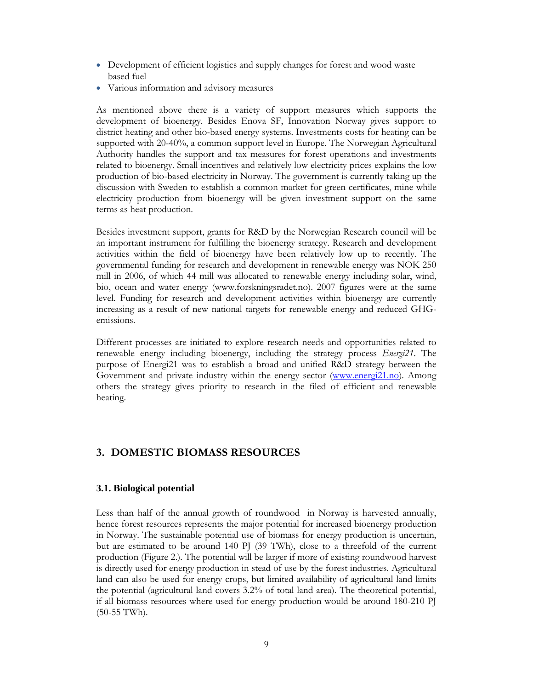- Development of efficient logistics and supply changes for forest and wood waste based fuel
- Various information and advisory measures

As mentioned above there is a variety of support measures which supports the development of bioenergy. Besides Enova SF, Innovation Norway gives support to district heating and other bio-based energy systems. Investments costs for heating can be supported with 20-40%, a common support level in Europe. The Norwegian Agricultural Authority handles the support and tax measures for forest operations and investments related to bioenergy. Small incentives and relatively low electricity prices explains the low production of bio-based electricity in Norway. The government is currently taking up the discussion with Sweden to establish a common market for green certificates, mine while electricity production from bioenergy will be given investment support on the same terms as heat production.

Besides investment support, grants for R&D by the Norwegian Research council will be an important instrument for fulfilling the bioenergy strategy. Research and development activities within the field of bioenergy have been relatively low up to recently. The governmental funding for research and development in renewable energy was NOK 250 mill in 2006, of which 44 mill was allocated to renewable energy including solar, wind, bio, ocean and water energy (www.forskningsradet.no). 2007 figures were at the same level. Funding for research and development activities within bioenergy are currently increasing as a result of new national targets for renewable energy and reduced GHGemissions.

Different processes are initiated to explore research needs and opportunities related to renewable energy including bioenergy, including the strategy process *Energi21*. The purpose of Energi21 was to establish a broad and unified R&D strategy between the Government and private industry within the energy sector (www.energi21.no). Among others the strategy gives priority to research in the filed of efficient and renewable heating.

## **3. DOMESTIC BIOMASS RESOURCES**

#### **3.1. Biological potential**

Less than half of the annual growth of roundwood in Norway is harvested annually, hence forest resources represents the major potential for increased bioenergy production in Norway. The sustainable potential use of biomass for energy production is uncertain, but are estimated to be around 140 PJ (39 TWh), close to a threefold of the current production (Figure 2.). The potential will be larger if more of existing roundwood harvest is directly used for energy production in stead of use by the forest industries. Agricultural land can also be used for energy crops, but limited availability of agricultural land limits the potential (agricultural land covers 3.2% of total land area). The theoretical potential, if all biomass resources where used for energy production would be around 180-210 PJ (50-55 TWh).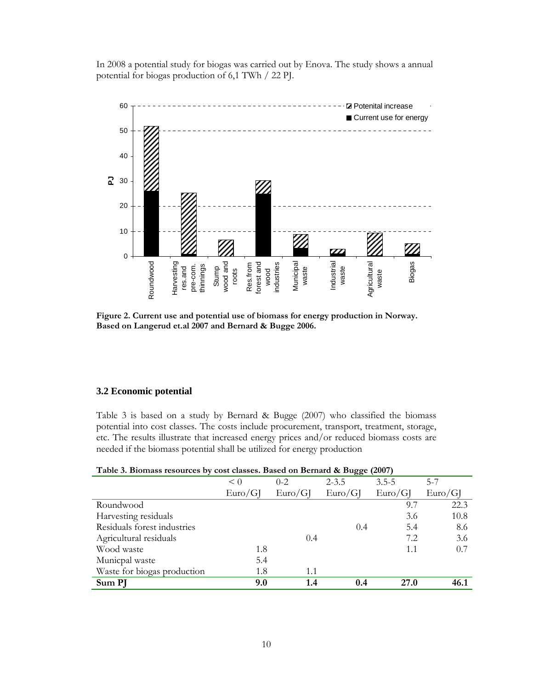In 2008 a potential study for biogas was carried out by Enova. The study shows a annual potential for biogas production of 6,1 TWh / 22 PJ.



**Figure 2. Current use and potential use of biomass for energy production in Norway. Based on Langerud et.al 2007 and Bernard & Bugge 2006.** 

#### **3.2 Economic potential**

Table 3 is based on a study by Bernard & Bugge (2007) who classified the biomass potential into cost classes. The costs include procurement, transport, treatment, storage, etc. The results illustrate that increased energy prices and/or reduced biomass costs are needed if the biomass potential shall be utilized for energy production

| Twice of Bromwoo recourses by cool chootes, Bused on Bernard to Bugge (2007) |         |           |             |         |  |  |  |
|------------------------------------------------------------------------------|---------|-----------|-------------|---------|--|--|--|
| $\leq 0$                                                                     | $0 - 2$ | $2 - 3.5$ | $3.5 - 5$   | $5 - 7$ |  |  |  |
| Euro/G                                                                       | Euro/GI | Euro/G    | Euro/G      | Euro/G  |  |  |  |
|                                                                              |         |           | 9.7         | 22.3    |  |  |  |
|                                                                              |         |           | 3.6         | 10.8    |  |  |  |
|                                                                              |         | 0.4       | 5.4         | 8.6     |  |  |  |
|                                                                              | 0.4     |           | 7.2         | 3.6     |  |  |  |
| 1.8                                                                          |         |           | 1.1         | 0.7     |  |  |  |
| 5.4                                                                          |         |           |             |         |  |  |  |
| 1.8                                                                          | 1.1     |           |             |         |  |  |  |
| 9.0                                                                          | 1.4     | 0.4       | <b>27.0</b> | 46.1    |  |  |  |
|                                                                              |         |           |             |         |  |  |  |

| Table 3. Biomass resources by cost classes. Based on Bernard & Bugge (2007) |  |  |  |
|-----------------------------------------------------------------------------|--|--|--|
|                                                                             |  |  |  |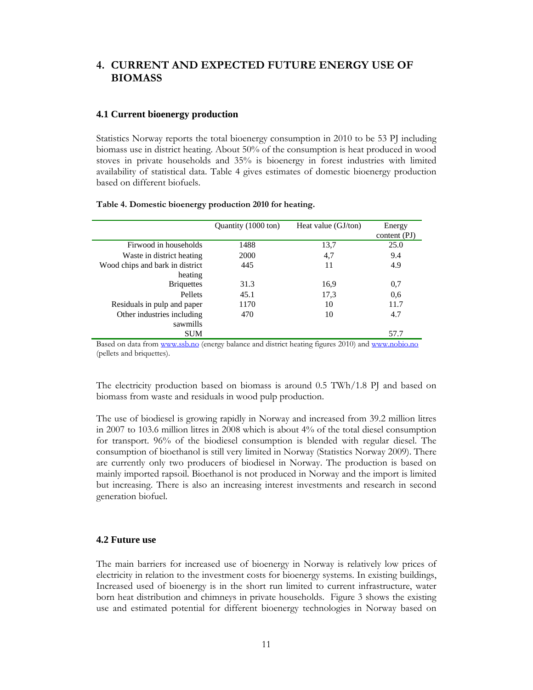## **4. CURRENT AND EXPECTED FUTURE ENERGY USE OF BIOMASS**

#### **4.1 Current bioenergy production**

Statistics Norway reports the total bioenergy consumption in 2010 to be 53 PJ including biomass use in district heating. About 50% of the consumption is heat produced in wood stoves in private households and 35% is bioenergy in forest industries with limited availability of statistical data. Table 4 gives estimates of domestic bioenergy production based on different biofuels.

|                                 | Quantity (1000 ton) | Heat value (GJ/ton) | Energy<br>content (PI) |
|---------------------------------|---------------------|---------------------|------------------------|
| Firwood in households           | 1488                | 13,7                | 25.0                   |
| Waste in district heating       | 2000                | 4,7                 | 9.4                    |
| Wood chips and bark in district | 445                 | 11                  | 4.9                    |
| heating                         |                     |                     |                        |
| <b>Briquettes</b>               | 31.3                | 16,9                | 0,7                    |
| Pellets                         | 45.1                | 17,3                | 0.6                    |
| Residuals in pulp and paper     | 1170                | 10                  | 11.7                   |
| Other industries including      | 470                 | 10                  | 4.7                    |
| sawmills                        |                     |                     |                        |
| <b>SUM</b>                      |                     |                     | 57.7                   |

#### **Table 4. Domestic bioenergy production 2010 for heating.**

Based on data from www.ssb.no (energy balance and district heating figures 2010) and www.nobio.no (pellets and briquettes).

The electricity production based on biomass is around 0.5 TWh/1.8 PJ and based on biomass from waste and residuals in wood pulp production.

The use of biodiesel is growing rapidly in Norway and increased from 39.2 million litres in 2007 to 103.6 million litres in 2008 which is about 4% of the total diesel consumption for transport. 96% of the biodiesel consumption is blended with regular diesel. The consumption of bioethanol is still very limited in Norway (Statistics Norway 2009). There are currently only two producers of biodiesel in Norway. The production is based on mainly imported rapsoil. Bioethanol is not produced in Norway and the import is limited but increasing. There is also an increasing interest investments and research in second generation biofuel.

#### **4.2 Future use**

The main barriers for increased use of bioenergy in Norway is relatively low prices of electricity in relation to the investment costs for bioenergy systems. In existing buildings, Increased used of bioenergy is in the short run limited to current infrastructure, water born heat distribution and chimneys in private households. Figure 3 shows the existing use and estimated potential for different bioenergy technologies in Norway based on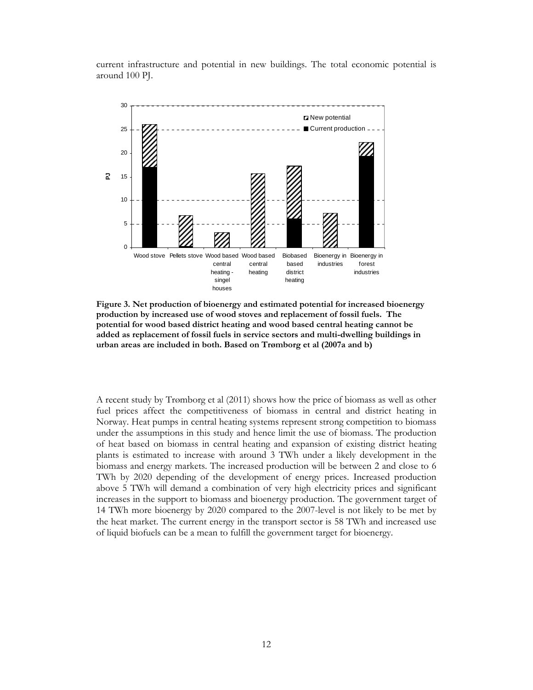current infrastructure and potential in new buildings. The total economic potential is around 100 PJ.



**Figure 3. Net production of bioenergy and estimated potential for increased bioenergy production by increased use of wood stoves and replacement of fossil fuels. The potential for wood based district heating and wood based central heating cannot be added as replacement of fossil fuels in service sectors and multi-dwelling buildings in urban areas are included in both. Based on Trømborg et al (2007a and b)** 

A recent study by Trømborg et al (2011) shows how the price of biomass as well as other fuel prices affect the competitiveness of biomass in central and district heating in Norway. Heat pumps in central heating systems represent strong competition to biomass under the assumptions in this study and hence limit the use of biomass. The production of heat based on biomass in central heating and expansion of existing district heating plants is estimated to increase with around 3 TWh under a likely development in the biomass and energy markets. The increased production will be between 2 and close to 6 TWh by 2020 depending of the development of energy prices. Increased production above 5 TWh will demand a combination of very high electricity prices and significant increases in the support to biomass and bioenergy production. The government target of 14 TWh more bioenergy by 2020 compared to the 2007-level is not likely to be met by the heat market. The current energy in the transport sector is 58 TWh and increased use of liquid biofuels can be a mean to fulfill the government target for bioenergy.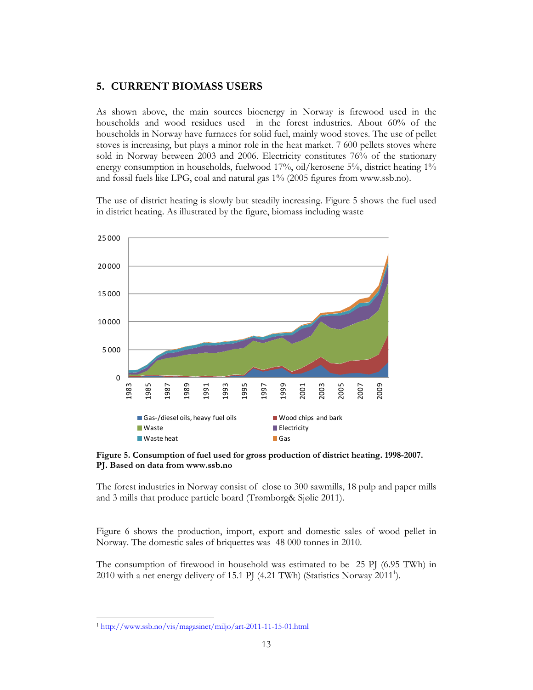## **5. CURRENT BIOMASS USERS**

As shown above, the main sources bioenergy in Norway is firewood used in the households and wood residues used in the forest industries. About 60% of the households in Norway have furnaces for solid fuel, mainly wood stoves. The use of pellet stoves is increasing, but plays a minor role in the heat market. 7 600 pellets stoves where sold in Norway between 2003 and 2006. Electricity constitutes 76% of the stationary energy consumption in households, fuelwood 17%, oil/kerosene 5%, district heating 1% and fossil fuels like LPG, coal and natural gas 1% (2005 figures from www.ssb.no).

The use of district heating is slowly but steadily increasing. Figure 5 shows the fuel used in district heating. As illustrated by the figure, biomass including waste



**Figure 5. Consumption of fuel used for gross production of district heating. 1998-2007. PJ. Based on data from www.ssb.no** 

The forest industries in Norway consist of close to 300 sawmills, 18 pulp and paper mills and 3 mills that produce particle board (Trømborg& Sjølie 2011).

Figure 6 shows the production, import, export and domestic sales of wood pellet in Norway. The domestic sales of briquettes was 48 000 tonnes in 2010.

The consumption of firewood in household was estimated to be 25 PJ (6.95 TWh) in 2010 with a net energy delivery of 15.1 PJ (4.21 TWh) (Statistics Norway 2011<sup>1</sup>).

 $\overline{a}$ <sup>1</sup> http://www.ssb.no/vis/magasinet/miljo/art-2011-11-15-01.html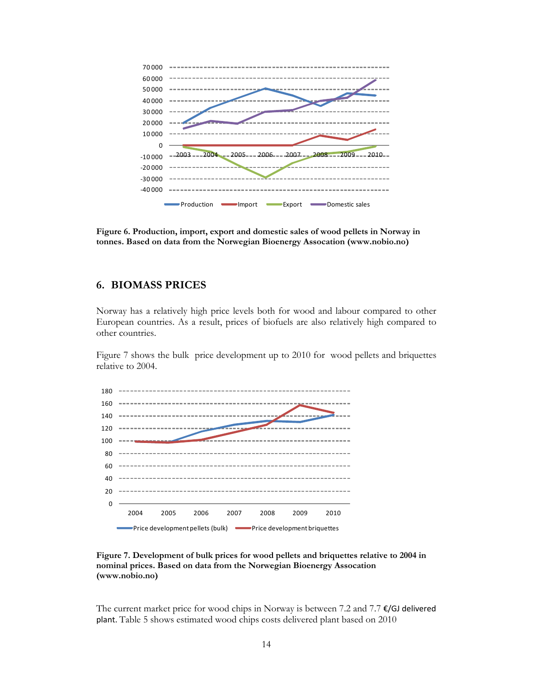

**Figure 6. Production, import, export and domestic sales of wood pellets in Norway in tonnes. Based on data from the Norwegian Bioenergy Assocation (www.nobio.no)** 

## **6. BIOMASS PRICES**

Norway has a relatively high price levels both for wood and labour compared to other European countries. As a result, prices of biofuels are also relatively high compared to other countries.

Figure 7 shows the bulk price development up to 2010 for wood pellets and briquettes relative to 2004.



**Figure 7. Development of bulk prices for wood pellets and briquettes relative to 2004 in nominal prices. Based on data from the Norwegian Bioenergy Assocation (www.nobio.no)** 

The current market price for wood chips in Norway is between 7.2 and 7.7  $\epsilon$ /GJ delivered plant. Table 5 shows estimated wood chips costs delivered plant based on 2010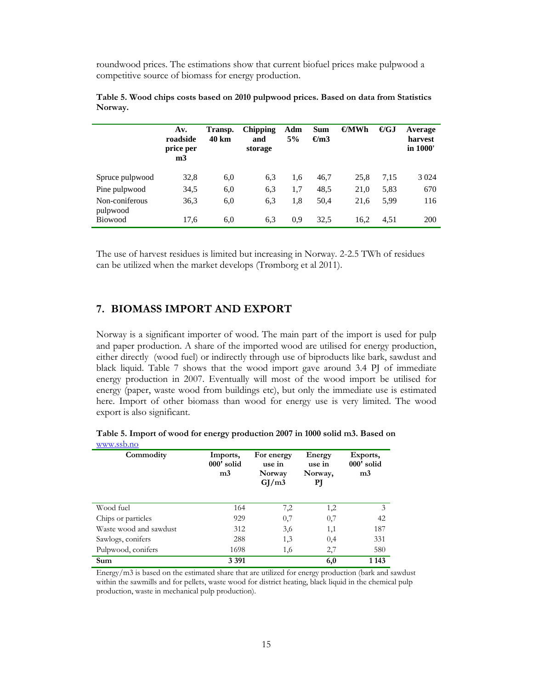roundwood prices. The estimations show that current biofuel prices make pulpwood a competitive source of biomass for energy production.

|                            | Av.<br>roadside<br>price per<br>m <sub>3</sub> | Transp.<br>40 km | <b>Chipping</b><br>and<br>storage | Adm<br>5% | <b>Sum</b><br>$\epsilon$ m3 | $\epsilon$ MWh | $\bigoplus$ GJ | Average<br>harvest<br>in 1000' |
|----------------------------|------------------------------------------------|------------------|-----------------------------------|-----------|-----------------------------|----------------|----------------|--------------------------------|
| Spruce pulpwood            | 32,8                                           | 6,0              | 6,3                               | 1,6       | 46,7                        | 25,8           | 7,15           | 3 0 2 4                        |
| Pine pulpwood              | 34,5                                           | 6,0              | 6.3                               | 1,7       | 48.5                        | 21,0           | 5,83           | 670                            |
| Non-coniferous<br>pulpwood | 36,3                                           | 6,0              | 6.3                               | 1,8       | 50,4                        | 21,6           | 5.99           | 116                            |
| <b>Biowood</b>             | 17.6                                           | 6,0              | 6,3                               | 0.9       | 32.5                        | 16.2           | 4.51           | 200                            |

|         |  |  | Table 5. Wood chips costs based on 2010 pulpwood prices. Based on data from Statistics |  |  |  |
|---------|--|--|----------------------------------------------------------------------------------------|--|--|--|
| Norway. |  |  |                                                                                        |  |  |  |

The use of harvest residues is limited but increasing in Norway. 2-2.5 TWh of residues can be utilized when the market develops (Trømborg et al 2011).

## **7. BIOMASS IMPORT AND EXPORT**

Norway is a significant importer of wood. The main part of the import is used for pulp and paper production. A share of the imported wood are utilised for energy production, either directly (wood fuel) or indirectly through use of biproducts like bark, sawdust and black liquid. Table 7 shows that the wood import gave around 3.4 PJ of immediate energy production in 2007. Eventually will most of the wood import be utilised for energy (paper, waste wood from buildings etc), but only the immediate use is estimated here. Import of other biomass than wood for energy use is very limited. The wood export is also significant.

| WWW.00D.11O            |                                          |                                         |                                   |                                          |  |
|------------------------|------------------------------------------|-----------------------------------------|-----------------------------------|------------------------------------------|--|
| Commodity              | Imports,<br>000' solid<br>m <sub>3</sub> | For energy<br>use in<br>Norway<br>GJ/m3 | Energy<br>use in<br>Norway,<br>РJ | Exports,<br>000' solid<br>m <sub>3</sub> |  |
| Wood fuel              | 164                                      | 7,2                                     | 1,2                               | 3                                        |  |
| Chips or particles     | 929                                      | 0,7                                     | 0,7                               | 42                                       |  |
| Waste wood and sawdust | 312                                      | 3,6                                     | 1,1                               | 187                                      |  |
| Sawlogs, conifers      | 288                                      | 1,3                                     | 0,4                               | 331                                      |  |
| Pulpwood, conifers     | 1698                                     | 1,6                                     | 2,7                               | 580                                      |  |
| Sum                    | 3 3 9 1                                  |                                         | 6,0                               | 1 1 4 3                                  |  |

**Table 5. Import of wood for energy production 2007 in 1000 solid m3. Based on**  www.ssb.no

Energy/m3 is based on the estimated share that are utilized for energy production (bark and sawdust within the sawmills and for pellets, waste wood for district heating, black liquid in the chemical pulp production, waste in mechanical pulp production).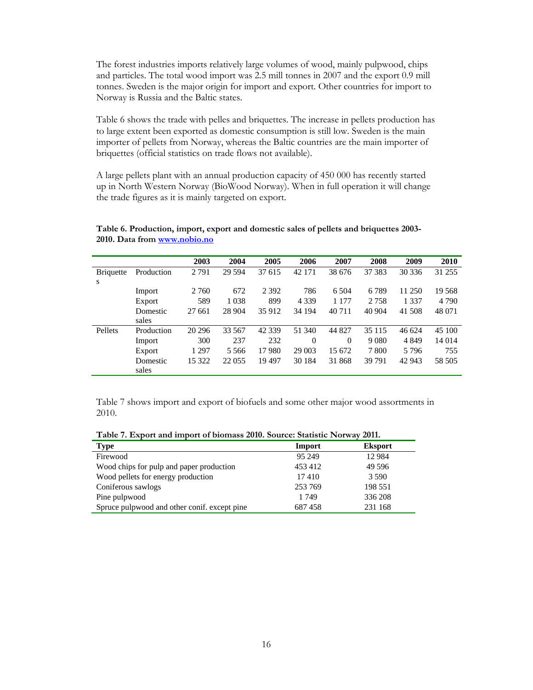The forest industries imports relatively large volumes of wood, mainly pulpwood, chips and particles. The total wood import was 2.5 mill tonnes in 2007 and the export 0.9 mill tonnes. Sweden is the major origin for import and export. Other countries for import to Norway is Russia and the Baltic states.

Table 6 shows the trade with pelles and briquettes. The increase in pellets production has to large extent been exported as domestic consumption is still low. Sweden is the main importer of pellets from Norway, whereas the Baltic countries are the main importer of briquettes (official statistics on trade flows not available).

A large pellets plant with an annual production capacity of 450 000 has recently started up in North Western Norway (BioWood Norway). When in full operation it will change the trade figures as it is mainly targeted on export.

|                  |            | 2003    | 2004    | 2005     | 2006     | 2007     | 2008    | 2009    | 2010    |
|------------------|------------|---------|---------|----------|----------|----------|---------|---------|---------|
| <b>Briquette</b> | Production | 2 7 9 1 | 29 5 94 | 37 615   | 42 171   | 38 676   | 37 38 3 | 30 336  | 31 255  |
| S                |            |         |         |          |          |          |         |         |         |
|                  | Import     | 2 7 6 0 | 672     | 2 3 9 2  | 786      | 6 5 0 4  | 6789    | 11 250  | 19 568  |
|                  | Export     | 589     | 1 0 3 8 | 899      | 4 3 3 9  | 1 1 7 7  | 2758    | 1 3 3 7 | 4 7 9 0 |
|                  | Domestic   | 27 661  | 28 904  | 35 912   | 34 194   | 40 711   | 40 904  | 41 508  | 48 071  |
|                  | sales      |         |         |          |          |          |         |         |         |
| Pellets          | Production | 20 29 6 | 33 567  | 42 3 3 9 | 51 340   | 44 827   | 35 1 15 | 46 624  | 45 100  |
|                  | Import     | 300     | 237     | 232      | $\Omega$ | $\Omega$ | 9 0 8 0 | 4 8 4 9 | 14 014  |
|                  | Export     | 1 2 9 7 | 5 5 6 6 | 17980    | 29 003   | 15 672   | 7800    | 5796    | 755     |
|                  | Domestic   | 15 322  | 22 0 55 | 19 497   | 30 184   | 31 868   | 39 791  | 42 943  | 58 505  |
|                  | sales      |         |         |          |          |          |         |         |         |

#### **Table 6. Production, import, export and domestic sales of pellets and briquettes 2003- 2010. Data from www.nobio.no**

Table 7 shows import and export of biofuels and some other major wood assortments in 2010.

**Table 7. Export and import of biomass 2010. Source: Statistic Norway 2011.** 

| Type                                         | Import  | <b>Eksport</b> |
|----------------------------------------------|---------|----------------|
| Firewood                                     | 95 249  | 12 9 84        |
| Wood chips for pulp and paper production     | 453 412 | 49 5 9 6       |
| Wood pellets for energy production           | 17410   | 3 5 9 0        |
| Coniferous sawlogs                           | 253 769 | 198 551        |
| Pine pulpwood                                | 1 749   | 336 208        |
| Spruce pulpwood and other conif. except pine | 687458  | 231 168        |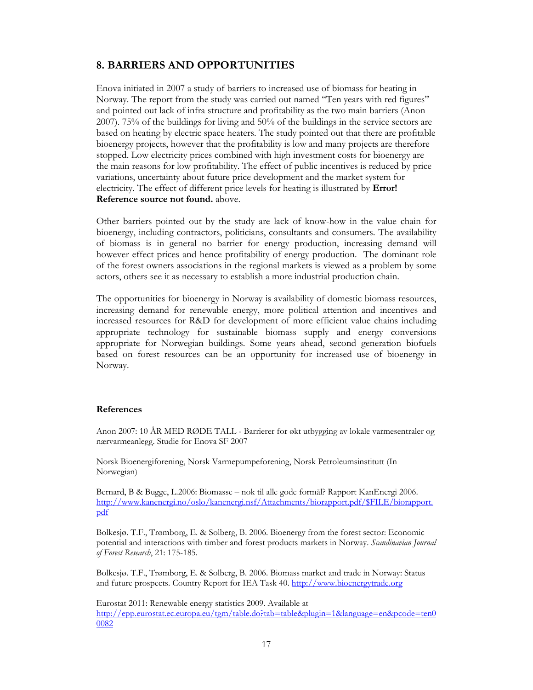## **8. BARRIERS AND OPPORTUNITIES**

Enova initiated in 2007 a study of barriers to increased use of biomass for heating in Norway. The report from the study was carried out named "Ten years with red figures" and pointed out lack of infra structure and profitability as the two main barriers (Anon 2007). 75% of the buildings for living and 50% of the buildings in the service sectors are based on heating by electric space heaters. The study pointed out that there are profitable bioenergy projects, however that the profitability is low and many projects are therefore stopped. Low electricity prices combined with high investment costs for bioenergy are the main reasons for low profitability. The effect of public incentives is reduced by price variations, uncertainty about future price development and the market system for electricity. The effect of different price levels for heating is illustrated by **Error! Reference source not found.** above.

Other barriers pointed out by the study are lack of know-how in the value chain for bioenergy, including contractors, politicians, consultants and consumers. The availability of biomass is in general no barrier for energy production, increasing demand will however effect prices and hence profitability of energy production. The dominant role of the forest owners associations in the regional markets is viewed as a problem by some actors, others see it as necessary to establish a more industrial production chain.

The opportunities for bioenergy in Norway is availability of domestic biomass resources, increasing demand for renewable energy, more political attention and incentives and increased resources for R&D for development of more efficient value chains including appropriate technology for sustainable biomass supply and energy conversions appropriate for Norwegian buildings. Some years ahead, second generation biofuels based on forest resources can be an opportunity for increased use of bioenergy in Norway.

#### **References**

Anon 2007: 10 ÅR MED RØDE TALL - Barrierer for økt utbygging av lokale varmesentraler og nærvarmeanlegg. Studie for Enova SF 2007

Norsk Bioenergiforening, Norsk Varmepumpeforening, Norsk Petroleumsinstitutt (In Norwegian)

Bernard, B & Bugge, L.2006: Biomasse – nok til alle gode formål? Rapport KanEnergi 2006. http://www.kanenergi.no/oslo/kanenergi.nsf/Attachments/biorapport.pdf/\$FILE/biorapport. pdf

Bolkesjø. T.F., Trømborg, E. & Solberg, B. 2006. Bioenergy from the forest sector: Economic potential and interactions with timber and forest products markets in Norway. *Scandinavian Journal of Forest Research*, 21: 175-185.

Bolkesjø. T.F., Trømborg, E. & Solberg, B. 2006. Biomass market and trade in Norway: Status and future prospects. Country Report for IEA Task 40. http://www.bioenergytrade.org

Eurostat 2011: Renewable energy statistics 2009. Available at http://epp.eurostat.ec.europa.eu/tgm/table.do?tab=table&plugin=1&language=en&pcode=ten0 0082